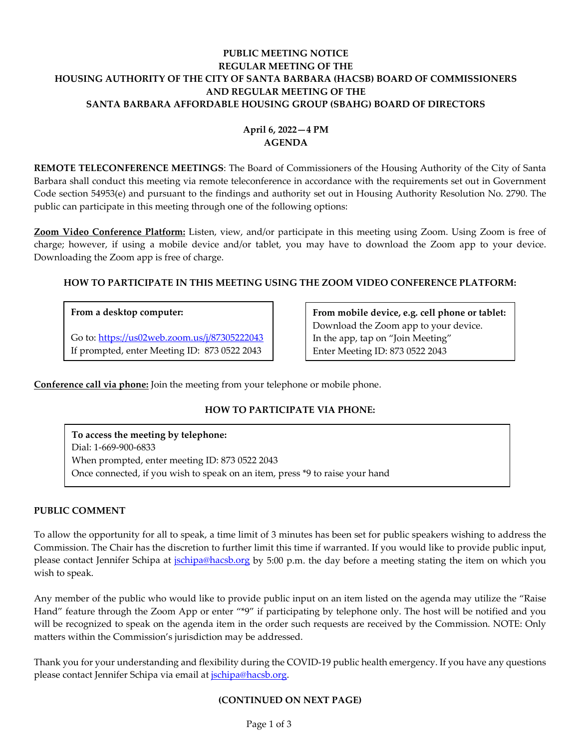# **PUBLIC MEETING NOTICE REGULAR MEETING OF THE HOUSING AUTHORITY OF THE CITY OF SANTA BARBARA (HACSB) BOARD OF COMMISSIONERS AND REGULAR MEETING OF THE SANTA BARBARA AFFORDABLE HOUSING GROUP (SBAHG) BOARD OF DIRECTORS**

# **April 6, 2022—4 PM AGENDA**

**REMOTE TELECONFERENCE MEETINGS**: The Board of Commissioners of the Housing Authority of the City of Santa Barbara shall conduct this meeting via remote teleconference in accordance with the requirements set out in Government Code section 54953(e) and pursuant to the findings and authority set out in Housing Authority Resolution No. 2790. The public can participate in this meeting through one of the following options:

**Zoom Video Conference Platform:** Listen, view, and/or participate in this meeting using Zoom. Using Zoom is free of charge; however, if using a mobile device and/or tablet, you may have to download the Zoom app to your device. Downloading the Zoom app is free of charge.

# **HOW TO PARTICIPATE IN THIS MEETING USING THE ZOOM VIDEO CONFERENCE PLATFORM:**

# **From a desktop computer:**

Go to:<https://us02web.zoom.us/j/87305222043> If prompted, enter Meeting ID: 873 0522 2043

**From mobile device, e.g. cell phone or tablet:** Download the Zoom app to your device. In the app, tap on "Join Meeting" Enter Meeting ID: 873 0522 2043

**Conference call via phone:** Join the meeting from your telephone or mobile phone.

# **HOW TO PARTICIPATE VIA PHONE:**

**To access the meeting by telephone:** Dial: 1-669-900-6833 When prompted, enter meeting ID: 873 0522 2043 Once connected, if you wish to speak on an item, press \*9 to raise your hand

# **PUBLIC COMMENT**

To allow the opportunity for all to speak, a time limit of 3 minutes has been set for public speakers wishing to address the Commission. The Chair has the discretion to further limit this time if warranted. If you would like to provide public input, please contact Jennifer Schipa at *ischipa@hacsb.org* by 5:00 p.m. the day before a meeting stating the item on which you wish to speak.

Any member of the public who would like to provide public input on an item listed on the agenda may utilize the "Raise Hand" feature through the Zoom App or enter "\*9" if participating by telephone only. The host will be notified and you will be recognized to speak on the agenda item in the order such requests are received by the Commission. NOTE: Only matters within the Commission's jurisdiction may be addressed.

Thank you for your understanding and flexibility during the COVID-19 public health emergency. If you have any questions please contact Jennifer Schipa via email at jschipa@hacsb.org.

# **(CONTINUED ON NEXT PAGE)**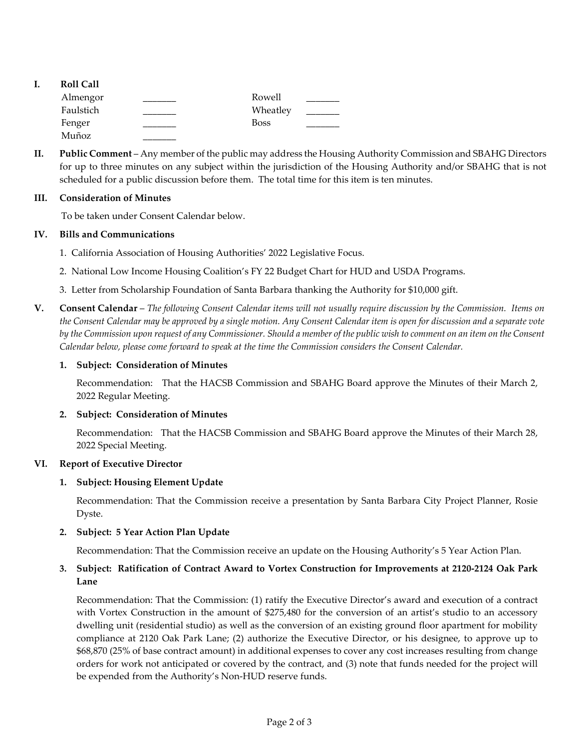- **I. Roll Call** Almengor **Latter Lines and Almengor** Rowell Faulstich Wheatley Fenger \_\_\_\_\_\_\_\_\_ Boss \_\_\_\_\_\_\_
- **II. Public Comment** Any member of the public may address the Housing Authority Commission and SBAHG Directors for up to three minutes on any subject within the jurisdiction of the Housing Authority and/or SBAHG that is not scheduled for a public discussion before them. The total time for this item is ten minutes.

# **III. Consideration of Minutes**

Muñoz \_\_\_\_\_\_\_

To be taken under Consent Calendar below.

# **IV. Bills and Communications**

- [1. California Association of Housing Authorities' 2022 Legislative Focus.](https://hacsb.org/download/meetings_2022/items/april/Item-IV.1_CAHA-Legistlative-Focus.pdf)
- [2. National Low Income Housing Coalition's FY 22 Budget Chart for HUD and USDA Programs.](https://hacsb.org/download/meetings_2022/items/april/Item-IV.2_NLIHC-HUD-USDA-Budget-Chart.pdf)
- [3. Letter from Scholarship Foundation of Santa Barbara thanking the Authority for \\$10,000 gift.](https://hacsb.org/download/meetings_2022/items/april/Item-IV.3_Letter-Scholarship-Foundation.pdf)
- **V. Consent Calendar** *The following Consent Calendar items will not usually require discussion by the Commission. Items on the Consent Calendar may be approved by a single motion. Any Consent Calendar item is open for discussion and a separate vote by the Commission upon request of any Commissioner. Should a member of the public wish to comment on an item on the Consent Calendar below, please come forward to speak at the time the Commission considers the Consent Calendar.*

# **1. Subject: Consideration of Minutes**

Recommendation: That the HACSB Commission [and SBAHG Board approve the Minutes of their March](https://hacsb.org/download/meetings_2022/items/april/Item-V.1_Minutes-03-02-2022.pdf) 2, 2022 Regular Meeting.

# **2. Subject: Consideration of Minutes**

[Recommendation: That the HACSB Commission and SBAHG Board approve the Minutes of their March 28,](https://hacsb.org/download/meetings_2022/items/april/Item-V.2_Minutes-03-28-2022-Special-Meeting.pdf)  2022 Special Meeting.

# **VI. Report of Executive Director**

# **1. Subject: Housing Element Update**

Recommendation: That the Commission receive a presentation by Santa Barbara City Project Planner, Rosie Dyste.

# **2. Subject: 5 Year Action Plan Update**

Recommendation: That the Commission receive an [update on the Housing Authority's 5 Year Action Plan.](https://hacsb.org/download/meetings_2022/items/april/Item-VI.2_5-Year-Action-Plan-Update.pdf) 

# **[3. Subject: Ratification of Contract Award to Vortex Construction for Improvements at 2120-2124 Oak Park](https://hacsb.org/download/meetings_2022/items/april/Item-VI.3_Oak-Park-Lane-ADU-Ratification.pdf)  Lane**

Recommendation: That the Commission: (1) ratify the Executive Director's award and execution of a contract with Vortex Construction in the amount of \$275,480 for the conversion of an artist's studio to an accessory dwelling unit (residential studio) as well as the conversion of an existing ground floor apartment for mobility compliance at 2120 Oak Park Lane; (2) authorize the Executive Director, or his designee, to approve up to \$68,870 (25% of base contract amount) in additional expenses to cover any cost increases resulting from change orders for work not anticipated or covered by the contract, and (3) note that funds needed for the project will be expended from the Authority's Non-HUD reserve funds.